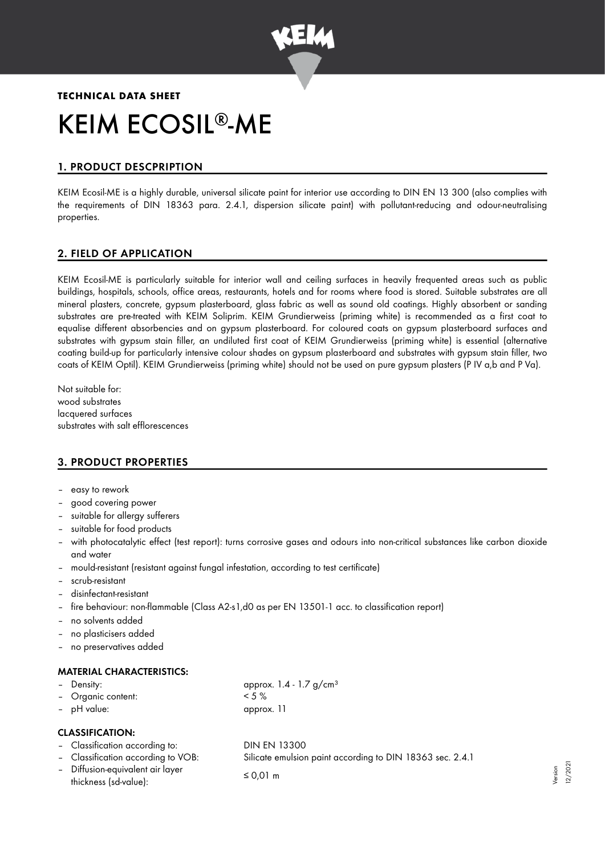

# **TECHNICAL DATA SHEET** KEIM ECOSIL<sup>®</sup>-ME

# 1. PRODUCT DESCPRIPTION

KEIM Ecosil-ME is a highly durable, universal silicate paint for interior use according to DIN EN 13 300 (also complies with the requirements of DIN 18363 para. 2.4.1, dispersion silicate paint) with pollutant-reducing and odour-neutralising properties.

## 2. FIELD OF APPLICATION

KEIM Ecosil-ME is particularly suitable for interior wall and ceiling surfaces in heavily frequented areas such as public buildings, hospitals, schools, office areas, restaurants, hotels and for rooms where food is stored. Suitable substrates are all mineral plasters, concrete, gypsum plasterboard, glass fabric as well as sound old coatings. Highly absorbent or sanding substrates are pre-treated with KEIM Soliprim. KEIM Grundierweiss (priming white) is recommended as a first coat to equalise different absorbencies and on gypsum plasterboard. For coloured coats on gypsum plasterboard surfaces and substrates with gypsum stain filler, an undiluted first coat of KEIM Grundierweiss (priming white) is essential (alternative coating build-up for particularly intensive colour shades on gypsum plasterboard and substrates with gypsum stain filler, two coats of KEIM Optil). KEIM Grundierweiss (priming white) should not be used on pure gypsum plasters (P IV a,b and P Va).

Not suitable for: wood substrates lacquered surfaces substrates with salt efflorescences

## 3. PRODUCT PROPERTIES

- easy to rework
- good covering power
- suitable for allergy sufferers
- suitable for food products
- with photocatalytic effect (test report): turns corrosive gases and odours into non-critical substances like carbon dioxide and water
- mould-resistant (resistant against fungal infestation, according to test certificate)
- scrub-resistant
- disinfectant-resistant
- fire behaviour: non-flammable (Class A2-s1,d0 as per EN 13501-1 acc. to classification report)
- no solvents added
- no plasticisers added
- no preservatives added

### MATERIAL CHARACTERISTICS:

| - Density:         | approx. $1.4 - 1.7$ g/cm <sup>3</sup> |
|--------------------|---------------------------------------|
| - Organic content: | $< 5 \%$                              |
| - pH value:        | approx. 11                            |

### CLASSIFICATION:

- Classification according to: DIN EN 13300
- 
- Diffusion-equivalent air layer  $\text{this}$  states (sd-value):  $\leq 0.01 \text{ m}$

– Classification according to VOB: Silicate emulsion paint according to DIN 18363 sec. 2.4.1

Version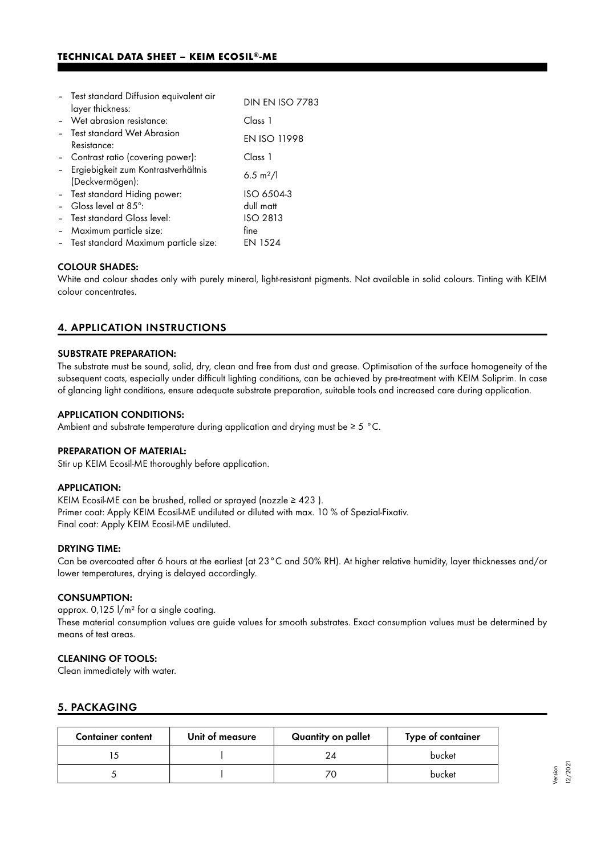| - Test standard Diffusion equivalent air               | <b>DIN EN ISO 7783</b> |
|--------------------------------------------------------|------------------------|
| layer thickness:                                       |                        |
| - Wet abrasion resistance:                             | Class 1                |
| - Test standard Wet Abrasion<br>Resistance:            | <b>EN ISO 11998</b>    |
| - Contrast ratio (covering power):                     | Class 1                |
| Ergiebigkeit zum Kontrastverhältnis<br>(Deckvermögen): | 6.5 m <sup>2</sup> /l  |
| - Test standard Hiding power:                          | ISO 6504-3             |
| - Gloss level at $85^\circ$ :                          | dull matt              |
| - Test standard Gloss level:                           | <b>ISO 2813</b>        |
| - Maximum particle size:                               | fine                   |
| - Test standard Maximum particle size:                 | EN 1524                |

#### COLOUR SHADES:

White and colour shades only with purely mineral, light-resistant pigments. Not available in solid colours. Tinting with KEIM colour concentrates.

## 4. APPLICATION INSTRUCTIONS

#### SUBSTRATE PREPARATION:

The substrate must be sound, solid, dry, clean and free from dust and grease. Optimisation of the surface homogeneity of the subsequent coats, especially under difficult lighting conditions, can be achieved by pre-treatment with KEIM Soliprim. In case of glancing light conditions, ensure adequate substrate preparation, suitable tools and increased care during application.

#### APPLICATION CONDITIONS:

Ambient and substrate temperature during application and drying must be  $\geq 5$  °C.

#### PREPARATION OF MATERIAL:

Stir up KEIM Ecosil-ME thoroughly before application.

#### APPLICATION:

KEIM Ecosil-ME can be brushed, rolled or sprayed (nozzle  $\geq$  423). Primer coat: Apply KEIM Ecosil-ME undiluted or diluted with max. 10 % of Spezial-Fixativ. Final coat: Apply KEIM Ecosil-ME undiluted.

#### DRYING TIME:

Can be overcoated after 6 hours at the earliest (at 23°C and 50% RH). At higher relative humidity, layer thicknesses and/or lower temperatures, drying is delayed accordingly.

## CONSUMPTION:

approx. 0,125 l/m² for a single coating. These material consumption values are guide values for smooth substrates. Exact consumption values must be determined by means of test areas.

### CLEANING OF TOOLS:

Clean immediately with water.

## 5. PACKAGING

| <b>Container content</b> | Unit of measure | Quantity on pallet | Type of container |
|--------------------------|-----------------|--------------------|-------------------|
|                          |                 |                    | bucket            |
|                          |                 |                    | bucket            |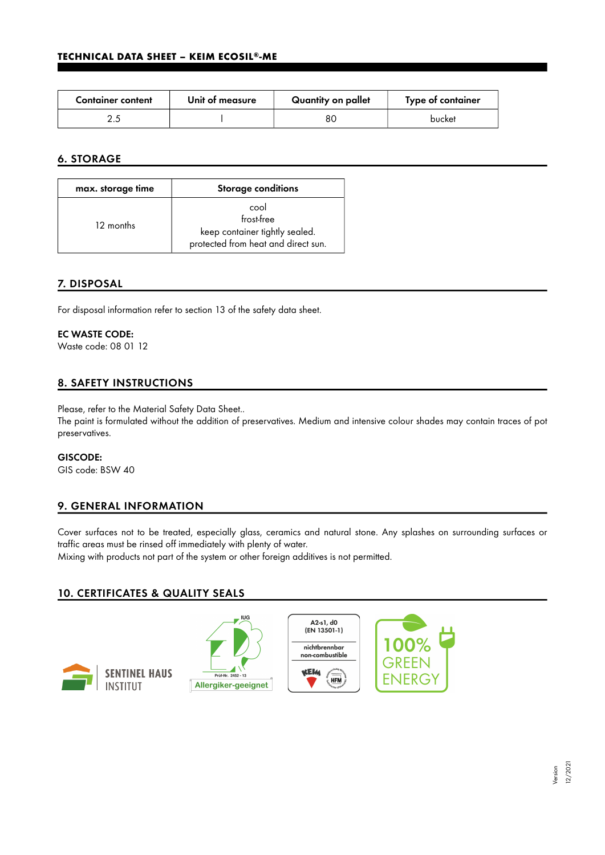| <b>Container content</b> | Unit of measure | Quantity on pallet | Type of container |
|--------------------------|-----------------|--------------------|-------------------|
|                          |                 | 8С                 | bucket            |

# 6. STORAGE

| max. storage time | <b>Storage conditions</b>                                                                   |
|-------------------|---------------------------------------------------------------------------------------------|
| 12 months         | cool<br>frost-free<br>keep container tightly sealed.<br>protected from heat and direct sun. |

# 7. DISPOSAL

For disposal information refer to section 13 of the safety data sheet.

## EC WASTE CODE:

Waste code: 08 01 12

# 8. SAFETY INSTRUCTIONS

Please, refer to the Material Safety Data Sheet..

The paint is formulated without the addition of preservatives. Medium and intensive colour shades may contain traces of pot preservatives.

## GISCODE:

GIS code: BSW 40

# 9. GENERAL INFORMATION

Cover surfaces not to be treated, especially glass, ceramics and natural stone. Any splashes on surrounding surfaces or traffic areas must be rinsed off immediately with plenty of water.

Mixing with products not part of the system or other foreign additives is not permitted.

# 10. CERTIFICATES & QUALITY SEALS